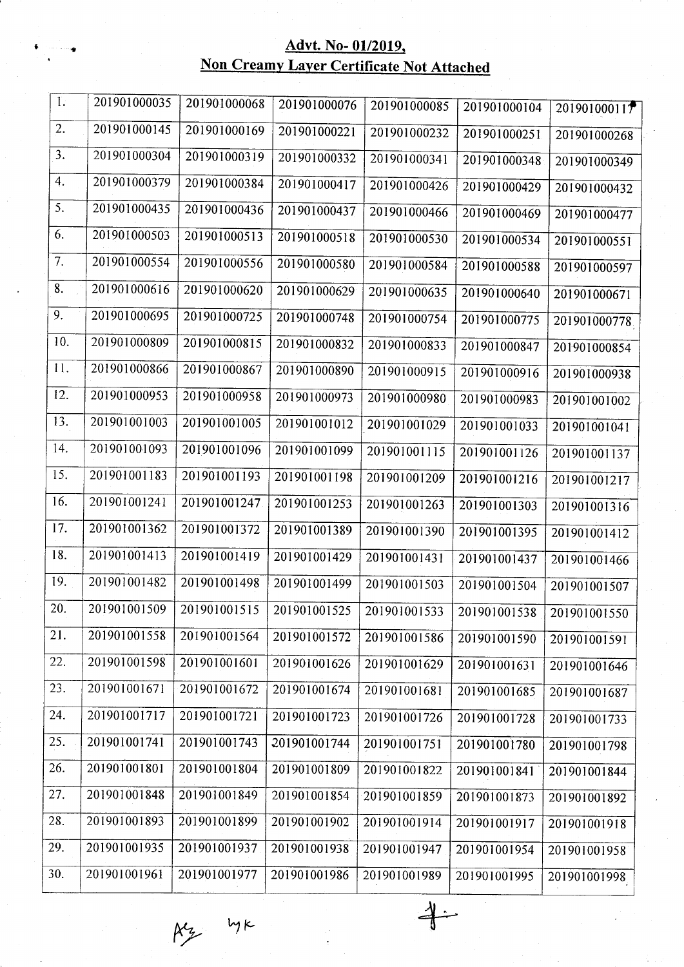## Advt. No- 01/2019, Non Creamy Layer Certificate Not Attached

| $\mathbf{I}$ :   | 201901000035 | 201901000068 | 201901000076 | 201901000085 | 201901000104 | 201901000117 |
|------------------|--------------|--------------|--------------|--------------|--------------|--------------|
| 2.               | 201901000145 | 201901000169 | 201901000221 | 201901000232 | 201901000251 | 201901000268 |
| 3.               | 201901000304 | 201901000319 | 201901000332 | 201901000341 | 201901000348 | 201901000349 |
| 4.               | 201901000379 | 201901000384 | 201901000417 | 201901000426 | 201901000429 | 201901000432 |
| $\overline{5}$ . | 201901000435 | 201901000436 | 201901000437 | 201901000466 | 201901000469 | 201901000477 |
| 6.               | 201901000503 | 201901000513 | 201901000518 | 201901000530 | 201901000534 | 201901000551 |
| 7.               | 201901000554 | 201901000556 | 201901000580 | 201901000584 | 201901000588 | 201901000597 |
| 8.               | 201901000616 | 201901000620 | 201901000629 | 201901000635 | 201901000640 | 201901000671 |
| 9.               | 201901000695 | 201901000725 | 201901000748 | 201901000754 | 201901000775 | 201901000778 |
| 10.              | 201901000809 | 201901000815 | 201901000832 | 201901000833 | 201901000847 | 201901000854 |
| 11.              | 201901000866 | 201901000867 | 201901000890 | 201901000915 | 201901000916 | 201901000938 |
| 12.              | 201901000953 | 201901000958 | 201901000973 | 201901000980 | 201901000983 | 201901001002 |
| 13.              | 201901001003 | 201901001005 | 201901001012 | 201901001029 | 201901001033 | 201901001041 |
| 14.              | 201901001093 | 201901001096 | 201901001099 | 201901001115 | 201901001126 | 201901001137 |
| 15.              | 201901001183 | 201901001193 | 201901001198 | 201901001209 | 201901001216 | 201901001217 |
| 16.              | 201901001241 | 201901001247 | 201901001253 | 201901001263 | 201901001303 | 201901001316 |
| 17.              | 201901001362 | 201901001372 | 201901001389 | 201901001390 | 201901001395 | 201901001412 |
| 18.              | 201901001413 | 201901001419 | 201901001429 | 201901001431 | 201901001437 | 201901001466 |
| 19.              | 201901001482 | 201901001498 | 201901001499 | 201901001503 | 201901001504 | 201901001507 |
| 20.              | 201901001509 | 201901001515 | 201901001525 | 201901001533 | 201901001538 | 201901001550 |
| 21.              | 201901001558 | 201901001564 | 201901001572 | 201901001586 | 201901001590 | 201901001591 |
| 22.              | 201901001598 | 201901001601 | 201901001626 | 201901001629 | 201901001631 | 201901001646 |
| 23.              | 201901001671 | 201901001672 | 201901001674 | 201901001681 | 201901001685 | 201901001687 |
| 24.              | 201901001717 | 201901001721 | 201901001723 | 201901001726 | 201901001728 | 201901001733 |
| 25.              | 201901001741 | 201901001743 | 201901001744 | 201901001751 | 201901001780 | 201901001798 |
| 26.              | 201901001801 | 201901001804 | 201901001809 | 201901001822 | 201901001841 | 201901001844 |
| 27.              | 201901001848 | 201901001849 | 201901001854 | 201901001859 | 201901001873 | 201901001892 |
| 28.              | 201901001893 | 201901001899 | 201901001902 | 201901001914 | 201901001917 | 201901001918 |
| 29.              | 201901001935 | 201901001937 | 201901001938 | 201901001947 | 201901001954 | 201901001958 |
| 30.              | 201901001961 | 201901001977 | 201901001986 | 201901001989 | 201901001995 | 201901001998 |

 $4-$ 

 $R_2$  lyk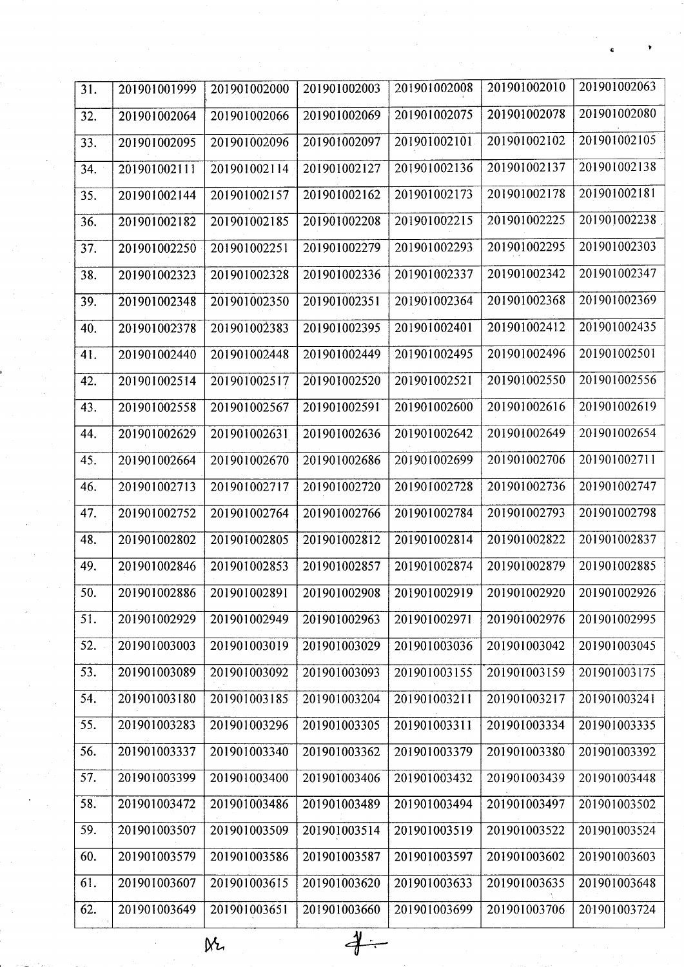| 31. | 201901001999 | 201901002000 | 201901002003 | 201901002008          | 201901002010 | 201901002063 |
|-----|--------------|--------------|--------------|-----------------------|--------------|--------------|
| 32. | 201901002064 | 201901002066 | 201901002069 | 201901002075          | 201901002078 | 201901002080 |
| 33. | 201901002095 | 201901002096 | 201901002097 | 201901002101          | 201901002102 | 201901002105 |
| 34. | 201901002111 | 201901002114 | 201901002127 | 201901002136          | 201901002137 | 201901002138 |
| 35. | 201901002144 | 201901002157 | 201901002162 | 201901002173          | 201901002178 | 201901002181 |
| 36. | 201901002182 | 201901002185 | 201901002208 | 201901002215          | 201901002225 | 201901002238 |
| 37. | 201901002250 | 201901002251 | 201901002279 | 201901002293          | 201901002295 | 201901002303 |
| 38. | 201901002323 | 201901002328 | 201901002336 | 201901002337          | 201901002342 | 201901002347 |
| 39. | 201901002348 | 201901002350 | 201901002351 | 201901002364          | 201901002368 | 201901002369 |
| 40. | 201901002378 | 201901002383 | 201901002395 | 201901002401          | 201901002412 | 201901002435 |
| 41. | 201901002440 | 201901002448 | 201901002449 | 201901002495          | 201901002496 | 201901002501 |
| 42. | 201901002514 | 201901002517 | 201901002520 | 201901002521          | 201901002550 | 201901002556 |
| 43. | 201901002558 | 201901002567 | 201901002591 | 201901002600          | 201901002616 | 201901002619 |
| 44. | 201901002629 | 201901002631 | 201901002636 | 201901002642          | 201901002649 | 201901002654 |
| 45. | 201901002664 | 201901002670 | 201901002686 | 201901002699          | 201901002706 | 201901002711 |
| 46. | 201901002713 | 201901002717 | 201901002720 | 201901002728          | 201901002736 | 201901002747 |
| 47. | 201901002752 | 201901002764 | 201901002766 | 201901002784          | 201901002793 | 201901002798 |
| 48. | 201901002802 | 201901002805 | 201901002812 | 201901002814          | 201901002822 | 201901002837 |
| 49. | 201901002846 | 201901002853 | 201901002857 | 201901002874          | 201901002879 | 201901002885 |
| 50. | 201901002886 | 201901002891 | 201901002908 | $\sqrt{201901002919}$ | 201901002920 | 201901002926 |
| 51. | 201901002929 | 201901002949 | 201901002963 | 201901002971          | 201901002976 | 201901002995 |
| 52. | 201901003003 | 201901003019 | 201901003029 | 201901003036          | 201901003042 | 201901003045 |
| 53. | 201901003089 | 201901003092 | 201901003093 | 201901003155          | 201901003159 | 201901003175 |
| 54. | 201901003180 | 201901003185 | 201901003204 | 201901003211          | 201901003217 | 201901003241 |
| 55. | 201901003283 | 201901003296 | 201901003305 | 201901003311          | 201901003334 | 201901003335 |
| 56. | 201901003337 | 201901003340 | 201901003362 | 201901003379          | 201901003380 | 201901003392 |
| 57. | 201901003399 | 201901003400 | 201901003406 | 201901003432          | 201901003439 | 201901003448 |
| 58. | 201901003472 | 201901003486 | 201901003489 | 201901003494          | 201901003497 | 201901003502 |
| 59. | 201901003507 | 201901003509 | 201901003514 | 201901003519          | 201901003522 | 201901003524 |
| 60. | 201901003579 | 201901003586 | 201901003587 | 201901003597          | 201901003602 | 201901003603 |
| 61. | 201901003607 | 201901003615 | 201901003620 | 201901003633          | 201901003635 | 201901003648 |
| 62. | 201901003649 | 201901003651 | 201901003660 | 201901003699          | 201901003706 | 201901003724 |

 $\overline{\overline{4}}$ 

 $M<sub>2</sub>$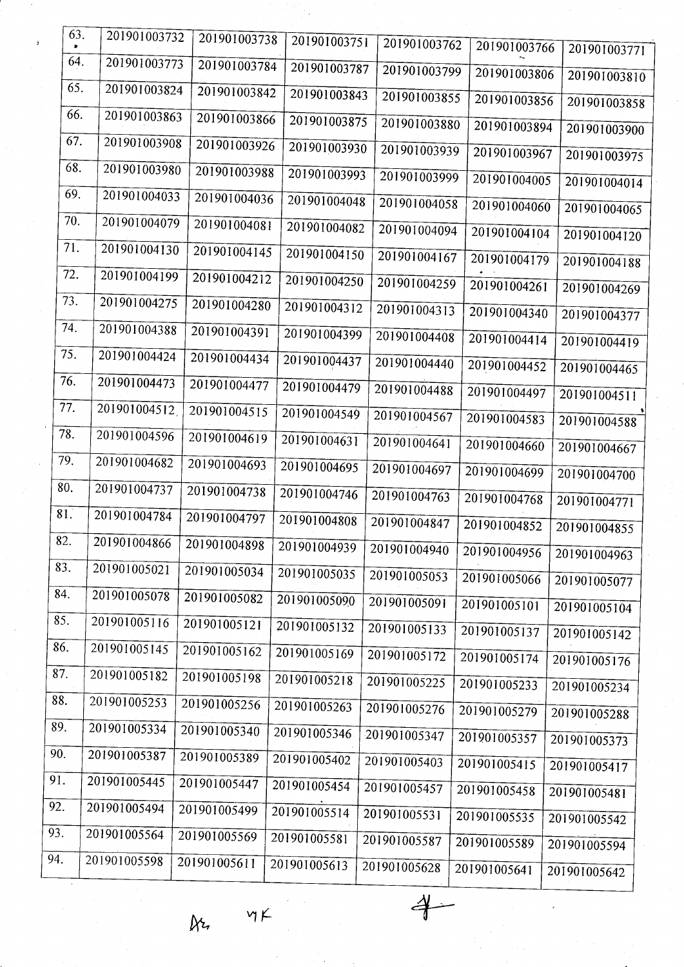| 63.               | 201901003732 | 201901003738 |                           |              |              |              |  |
|-------------------|--------------|--------------|---------------------------|--------------|--------------|--------------|--|
| 64.               |              |              | 201901003751              | 201901003762 | 201901003766 | 201901003771 |  |
|                   | 201901003773 | 201901003784 | 201901003787              | 201901003799 | 201901003806 | 201901003810 |  |
| 65.               | 201901003824 | 201901003842 | 201901003843              | 201901003855 | 201901003856 | 201901003858 |  |
| 66.               | 201901003863 | 201901003866 | 201901003875              | 201901003880 | 201901003894 | 201901003900 |  |
| 67.               | 201901003908 | 201901003926 | 201901003930              | 201901003939 | 201901003967 | 201901003975 |  |
| 68.               | 201901003980 | 201901003988 | 201901003993              | 201901003999 | 201901004005 | 201901004014 |  |
| 69.               | 201901004033 | 201901004036 | 201901004048              | 201901004058 | 201901004060 | 201901004065 |  |
| 70.               | 201901004079 | 201901004081 | 201901004082              | 201901004094 | 201901004104 | 201901004120 |  |
| 71.               | 201901004130 | 201901004145 | 201901004150              | 201901004167 | 201901004179 | 201901004188 |  |
| 72.               | 201901004199 | 201901004212 | 201901004250              | 201901004259 | 201901004261 | 201901004269 |  |
| 73.               | 201901004275 | 201901004280 | 201901004312              | 201901004313 | 201901004340 |              |  |
| 74.               | 201901004388 | 201901004391 | 201901004399              | 201901004408 | 201901004414 | 201901004377 |  |
| 75.               | 201901004424 | 201901004434 | 201901004437              | 201901004440 |              | 201901004419 |  |
| 76.               | 201901004473 | 201901004477 | 201901004479              |              | 201901004452 | 201901004465 |  |
| 77.               | 201901004512 | 201901004515 |                           | 201901004488 | 201901004497 | 201901004511 |  |
| 78.               | 201901004596 |              | 201901004549              | 201901004567 | 201901004583 | 201901004588 |  |
| 79.               |              | 201901004619 | 201901004631              | 201901004641 | 201901004660 | 201901004667 |  |
|                   | 201901004682 | 201901004693 | 201901004695              | 201901004697 | 201901004699 | 201901004700 |  |
| 80.               | 201901004737 | 201901004738 | 201901004746              | 201901004763 | 201901004768 | 201901004771 |  |
| 81.               | 201901004784 | 201901004797 | 201901004808              | 201901004847 | 201901004852 | 201901004855 |  |
| 82.               | 201901004866 |              | 201901004898 201901004939 | 201901004940 | 201901004956 | 201901004963 |  |
| 83.               | 201901005021 | 201901005034 | 201901005035              | 201901005053 | 201901005066 | 201901005077 |  |
| 84.               | 201901005078 | 201901005082 | 201901005090              | 201901005091 | 201901005101 | 201901005104 |  |
| 85.               | 201901005116 | 201901005121 | 201901005132              | 201901005133 | 201901005137 | 201901005142 |  |
| 86.               | 201901005145 | 201901005162 | 201901005169              | 201901005172 | 201901005174 | 201901005176 |  |
| $\overline{87}$ . | 201901005182 | 201901005198 | 201901005218              | 201901005225 | 201901005233 | 201901005234 |  |
| 88.               | 201901005253 | 201901005256 | 201901005263              | 201901005276 | 201901005279 |              |  |
| 89.               | 201901005334 | 201901005340 | 201901005346              | 201901005347 |              | 201901005288 |  |
| 90.               | 201901005387 | 201901005389 | 201901005402              |              | 201901005357 | 201901005373 |  |
| 91.               | 201901005445 | 201901005447 | 201901005454              | 201901005403 | 201901005415 | 201901005417 |  |
| 92.               | 201901005494 | 201901005499 |                           | 201901005457 | 201901005458 | 201901005481 |  |
| 93.               | 201901005564 |              | 201901005514              | 201901005531 | 201901005535 | 201901005542 |  |
| 94.               | 201901005598 | 201901005569 | 201901005581              | 201901005587 | 201901005589 | 201901005594 |  |
|                   |              | 201901005611 | 201901005613              | 201901005628 | 201901005641 | 201901005642 |  |
|                   |              |              |                           |              |              |              |  |

 $\aleph_7$ 

 $\nu$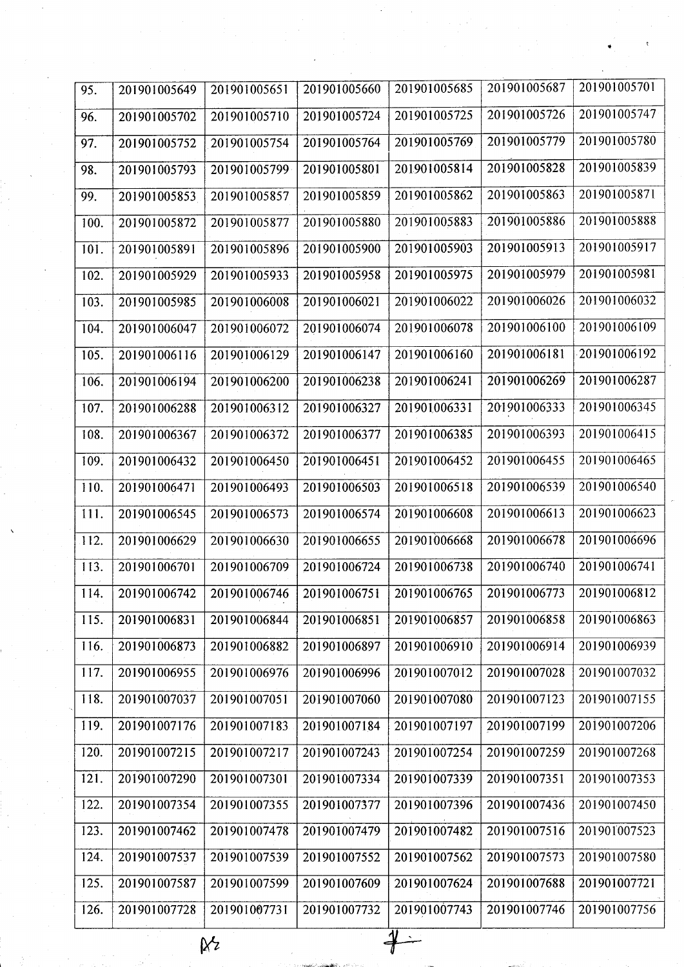| 95.          | 201901005649 | 201901005651 | 201901005660 | 201901005685                                                                                                            | 201901005687 | 201901005701 |
|--------------|--------------|--------------|--------------|-------------------------------------------------------------------------------------------------------------------------|--------------|--------------|
| 96.          | 201901005702 | 201901005710 | 201901005724 | 201901005725                                                                                                            | 201901005726 | 201901005747 |
| 97.          | 201901005752 | 201901005754 | 201901005764 | 201901005769                                                                                                            | 201901005779 | 201901005780 |
| 98.          | 201901005793 | 201901005799 | 201901005801 | 201901005814                                                                                                            | 201901005828 | 201901005839 |
| 99.          | 201901005853 | 201901005857 | 201901005859 | 201901005862                                                                                                            | 201901005863 | 201901005871 |
| 100.         | 201901005872 | 201901005877 | 201901005880 | 201901005883                                                                                                            | 201901005886 | 201901005888 |
| 101.         | 201901005891 | 201901005896 | 201901005900 | 201901005903                                                                                                            | 201901005913 | 201901005917 |
| 102.         | 201901005929 | 201901005933 | 201901005958 | 201901005975                                                                                                            | 201901005979 | 201901005981 |
| 103.         | 201901005985 | 201901006008 | 201901006021 | 201901006022                                                                                                            | 201901006026 | 201901006032 |
| 104.         | 201901006047 | 201901006072 | 201901006074 | 201901006078                                                                                                            | 201901006100 | 201901006109 |
| 105.         | 201901006116 | 201901006129 | 201901006147 | 201901006160                                                                                                            | 201901006181 | 201901006192 |
| 106.         | 201901006194 | 201901006200 | 201901006238 | 201901006241                                                                                                            | 201901006269 | 201901006287 |
| 107.         | 201901006288 | 201901006312 | 201901006327 | 201901006331                                                                                                            | 201901006333 | 201901006345 |
| 108.         | 201901006367 | 201901006372 | 201901006377 | 201901006385                                                                                                            | 201901006393 | 201901006415 |
| 109.         | 201901006432 | 201901006450 | 201901006451 | 201901006452                                                                                                            | 201901006455 | 201901006465 |
| 110.         | 201901006471 | 201901006493 | 201901006503 | 201901006518                                                                                                            | 201901006539 | 201901006540 |
| 111.         | 201901006545 | 201901006573 | 201901006574 | 201901006608                                                                                                            | 201901006613 | 201901006623 |
| 112.         | 201901006629 | 201901006630 | 201901006655 | 201901006668                                                                                                            | 201901006678 | 201901006696 |
| 113.         | 201901006701 | 201901006709 | 201901006724 | 201901006738                                                                                                            | 201901006740 | 201901006741 |
| $\vert$ 114. |              |              |              | $\mid$ 201901006742 $\mid$ 201901006746 $\mid$ 201901006751 $\mid$ 201901006765 $\mid$ 201901006773 $\mid$ 201901006812 |              |              |
| 115.         | 201901006831 | 201901006844 | 201901006851 | 201901006857                                                                                                            | 201901006858 | 201901006863 |
| 116.         | 201901006873 | 201901006882 | 201901006897 | 201901006910                                                                                                            | 201901006914 | 201901006939 |
| 117.         | 201901006955 | 201901006976 | 201901006996 | 201901007012                                                                                                            | 201901007028 | 201901007032 |
| 118.         | 201901007037 | 201901007051 | 201901007060 | 201901007080                                                                                                            | 201901007123 | 201901007155 |
| 119.         | 201901007176 | 201901007183 | 201901007184 | 201901007197                                                                                                            | 201901007199 | 201901007206 |
| 120.         | 201901007215 | 201901007217 | 201901007243 | 201901007254                                                                                                            | 201901007259 | 201901007268 |
| 121.         | 201901007290 | 201901007301 | 201901007334 | 201901007339                                                                                                            | 201901007351 | 201901007353 |
| 122.         | 201901007354 | 201901007355 | 201901007377 | 201901007396                                                                                                            | 201901007436 | 201901007450 |
| 123.         | 201901007462 | 201901007478 | 201901007479 | 201901007482                                                                                                            | 201901007516 | 201901007523 |
| 124.         | 201901007537 | 201901007539 | 201901007552 | 201901007562                                                                                                            | 201901007573 | 201901007580 |
| 125.         | 201901007587 | 201901007599 | 201901007609 | 201901007624                                                                                                            | 201901007688 | 201901007721 |
| 126.         | 201901007728 | 201901007731 | 201901007732 | 201901007743                                                                                                            | 201901007746 | 201901007756 |
|              |              | ļΧ           |              |                                                                                                                         |              |              |

 $M<sup>2</sup>$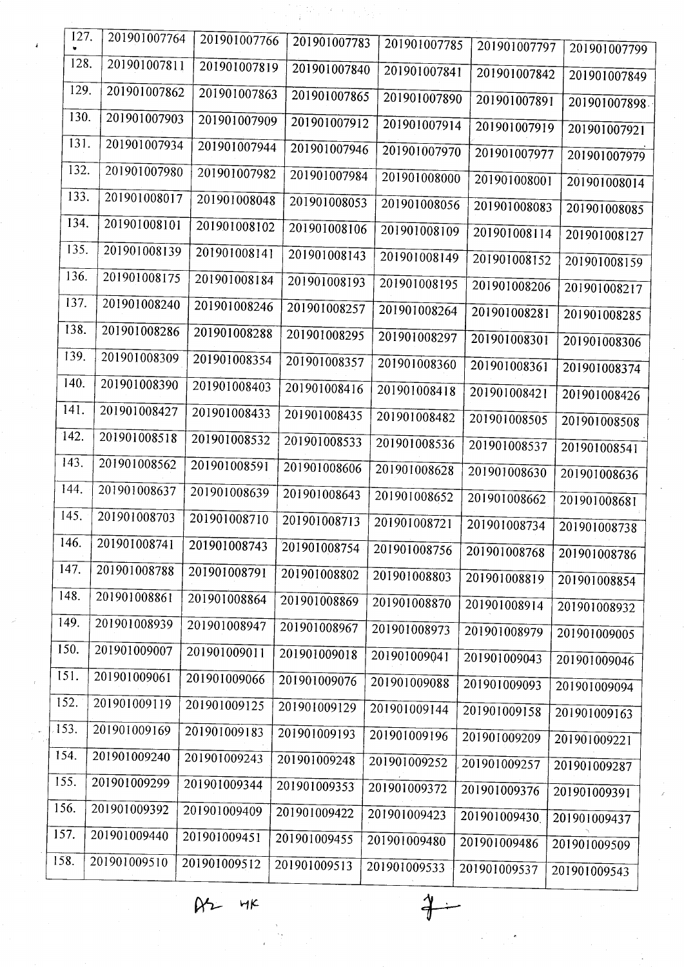| 127.               | 201901007764 | 201901007766 | 201901007783          | 201901007785 | 201901007797 | 201901007799 |  |
|--------------------|--------------|--------------|-----------------------|--------------|--------------|--------------|--|
| 128.               | 201901007811 | 201901007819 | 201901007840          | 201901007841 | 201901007842 | 201901007849 |  |
| 129.               | 201901007862 | 201901007863 | 201901007865          | 201901007890 | 201901007891 | 201901007898 |  |
| 130.               | 201901007903 | 201901007909 | 201901007912          | 201901007914 | 201901007919 | 201901007921 |  |
| 131.               | 201901007934 | 201901007944 | 201901007946          | 201901007970 | 201901007977 | 201901007979 |  |
| 132.               | 201901007980 | 201901007982 | 201901007984          | 201901008000 | 201901008001 | 201901008014 |  |
| 133.               | 201901008017 | 201901008048 | 201901008053          | 201901008056 | 201901008083 | 201901008085 |  |
| 134.               | 201901008101 | 201901008102 | 201901008106          | 201901008109 | 201901008114 | 201901008127 |  |
| 135.               | 201901008139 | 201901008141 | 201901008143          | 201901008149 | 201901008152 | 201901008159 |  |
| 136.               | 201901008175 | 201901008184 | 201901008193          | 201901008195 | 201901008206 | 201901008217 |  |
| 137.               | 201901008240 | 201901008246 | 201901008257          | 201901008264 | 201901008281 | 201901008285 |  |
| 138.               | 201901008286 | 201901008288 | 201901008295          | 201901008297 | 201901008301 | 201901008306 |  |
| 139.               | 201901008309 | 201901008354 | 201901008357          | 201901008360 | 201901008361 | 201901008374 |  |
| 140.               | 201901008390 | 201901008403 | 201901008416          | 201901008418 | 201901008421 | 201901008426 |  |
| 141.               | 201901008427 | 201901008433 | 201901008435          | 201901008482 | 201901008505 | 201901008508 |  |
| 142.               | 201901008518 | 201901008532 | 201901008533          | 201901008536 | 201901008537 | 201901008541 |  |
| 143.               | 201901008562 | 201901008591 | 201901008606          | 201901008628 | 201901008630 | 201901008636 |  |
| 144.               | 201901008637 | 201901008639 | 201901008643          | 201901008652 | 201901008662 | 201901008681 |  |
| 145.               | 201901008703 | 201901008710 | 201901008713          | 201901008721 | 201901008734 | 201901008738 |  |
| 146.               | 201901008741 | 201901008743 | $\sqrt{201901008754}$ | 201901008756 | 201901008768 | 201901008786 |  |
| 147.               | 201901008788 | 201901008791 | 201901008802          | 201901008803 | 201901008819 | 201901008854 |  |
| 148.               | 201901008861 | 201901008864 | 201901008869          | 201901008870 | 201901008914 | 201901008932 |  |
| 149.               | 201901008939 | 201901008947 | 201901008967          | 201901008973 | 201901008979 | 201901009005 |  |
| 150.               | 201901009007 | 201901009011 | 201901009018          | 201901009041 | 201901009043 | 201901009046 |  |
| 151.               | 201901009061 | 201901009066 | 201901009076          | 201901009088 | 201901009093 | 201901009094 |  |
| 152.               | 201901009119 | 201901009125 | 201901009129          | 201901009144 | 201901009158 | 201901009163 |  |
| 153.               | 201901009169 | 201901009183 | 201901009193          | 201901009196 | 201901009209 | 201901009221 |  |
| 154.               | 201901009240 | 201901009243 | 201901009248          | 201901009252 | 201901009257 | 201901009287 |  |
| 155.               | 201901009299 | 201901009344 | 201901009353          | 201901009372 | 201901009376 | 201901009391 |  |
| $\overline{156}$ . | 201901009392 | 201901009409 | 201901009422          | 201901009423 | 201901009430 | 201901009437 |  |
| 157.               | 201901009440 | 201901009451 | 201901009455          | 201901009480 | 201901009486 | 201901009509 |  |
| 158.               | 201901009510 | 201901009512 | 201901009513          | 201901009533 | 201901009537 | 201901009543 |  |
|                    |              |              |                       |              |              |              |  |

 $\mathbb{Z}^N$ 

 $\mathcal{A}=\mathcal{A}$ 

 $R2H$  HK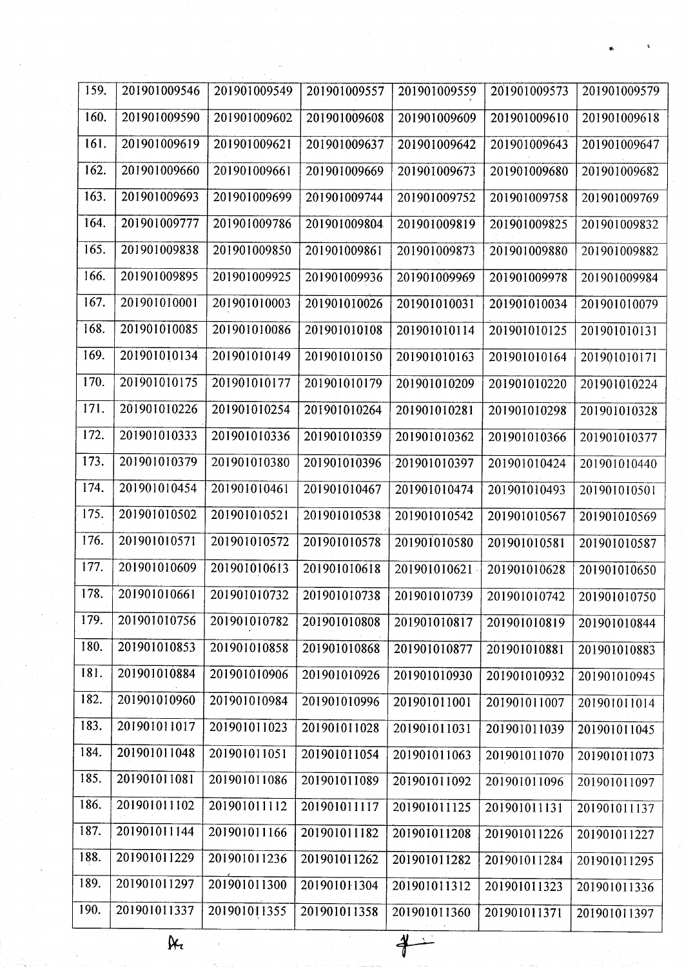| 159.         | 201901009546 | 201901009549 | 201901009557 | 201901009559              | 201901009573                | 201901009579 |
|--------------|--------------|--------------|--------------|---------------------------|-----------------------------|--------------|
| 160.         | 201901009590 | 201901009602 | 201901009608 | 201901009609              | 201901009610                | 201901009618 |
| 161.         | 201901009619 | 201901009621 | 201901009637 | 201901009642              | 201901009643                | 201901009647 |
| 162.         | 201901009660 | 201901009661 | 201901009669 | 201901009673              | 201901009680                | 201901009682 |
| 163.         | 201901009693 | 201901009699 | 201901009744 | 201901009752              | 201901009758                | 201901009769 |
| 164.         | 201901009777 | 201901009786 | 201901009804 | 201901009819              | 201901009825                | 201901009832 |
| 165.         | 201901009838 | 201901009850 | 201901009861 | 201901009873              | 201901009880                | 201901009882 |
| 166.         | 201901009895 | 201901009925 | 201901009936 | 201901009969              | 201901009978                | 201901009984 |
| 167.         | 201901010001 | 201901010003 | 201901010026 | 201901010031              | 201901010034                | 201901010079 |
| 168.         | 201901010085 | 201901010086 | 201901010108 | 201901010114              | 201901010125                | 201901010131 |
| 169.         | 201901010134 | 201901010149 | 201901010150 | 201901010163              | 201901010164                | 201901010171 |
| 170.         | 201901010175 | 201901010177 | 201901010179 | 201901010209              | 201901010220                | 201901010224 |
| 171.         | 201901010226 | 201901010254 | 201901010264 | 201901010281              | 201901010298                | 201901010328 |
| 172.         | 201901010333 | 201901010336 | 201901010359 | 201901010362              | 201901010366                | 201901010377 |
| 173.         | 201901010379 | 201901010380 | 201901010396 | 201901010397              | 201901010424                | 201901010440 |
| 174.         | 201901010454 | 201901010461 | 201901010467 | 201901010474              | 201901010493                | 201901010501 |
| 175.         | 201901010502 | 201901010521 | 201901010538 | 201901010542              | 201901010567                | 201901010569 |
| 176.         | 201901010571 | 201901010572 | 201901010578 | 201901010580              | 201901010581                | 201901010587 |
| 177.         | 201901010609 | 201901010613 | 201901010618 | 201901010621              | 201901010628                | 201901010650 |
| $\vert$ 178. | 201901010661 | 201901010732 |              | 201901010738 201901010739 | $201901010742$ 201901010750 |              |
| 179.         | 201901010756 | 201901010782 | 201901010808 | 201901010817              | 201901010819                | 201901010844 |
| 180.         | 201901010853 | 201901010858 | 201901010868 | 201901010877              | 201901010881                | 201901010883 |
| 181.         | 201901010884 | 201901010906 | 201901010926 | 201901010930              | 201901010932                | 201901010945 |
| 182.         | 201901010960 | 201901010984 | 201901010996 | 201901011001              | 201901011007                | 201901011014 |
| 183.         | 201901011017 | 201901011023 | 201901011028 | 201901011031              | 201901011039                | 201901011045 |
| 184.         | 201901011048 | 201901011051 | 201901011054 | 201901011063              | 201901011070                | 201901011073 |
| 185.         | 201901011081 | 201901011086 | 201901011089 | 201901011092              | 201901011096                | 201901011097 |
| 186.         | 201901011102 | 201901011112 | 201901011117 | 201901011125              | 201901011131                | 201901011137 |
| 187.         | 201901011144 | 201901011166 | 201901011182 | 201901011208              | 201901011226                | 201901011227 |
| 188.         | 201901011229 | 201901011236 | 201901011262 | 201901011282              | 201901011284                | 201901011295 |
| 189.         | 201901011297 | 201901011300 | 201901011304 | 201901011312              | 201901011323                | 201901011336 |
| 190.         | 201901011337 | 201901011355 | 201901011358 | 201901011360              | 201901011371                | 201901011397 |

 $\overline{\mathbb{R}}$ 

╡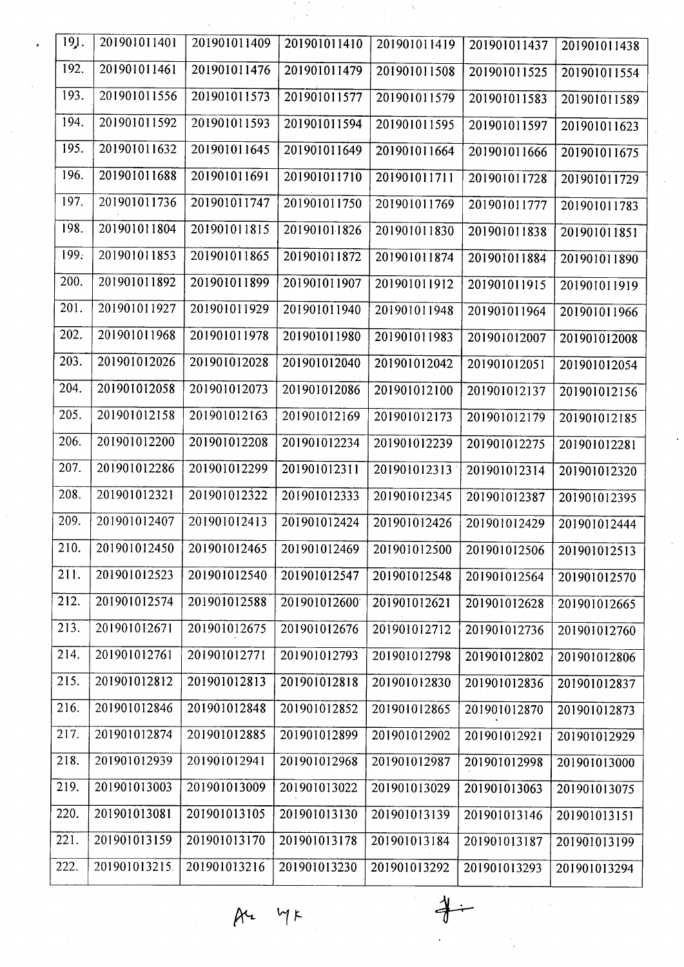| 191.              | 201901011401  | 201901011409                               | 201901011410 | 201901011419 | 201901011437 | 201901011438 |
|-------------------|---------------|--------------------------------------------|--------------|--------------|--------------|--------------|
| 192.              | 201901011461  | 201901011476                               | 201901011479 | 201901011508 | 201901011525 | 201901011554 |
| 193.              | 201901011556  | 201901011573                               | 201901011577 | 201901011579 | 201901011583 | 201901011589 |
| 194.              | 201901011592  | 201901011593                               | 201901011594 | 201901011595 | 201901011597 |              |
| 195.              | 201901011632  | 201901011645                               | 201901011649 |              |              | 201901011623 |
|                   |               |                                            |              | 201901011664 | 201901011666 | 201901011675 |
| 196.              | 201901011688  | 201901011691                               | 201901011710 | 201901011711 | 201901011728 | 201901011729 |
| 197.              | 201901011736  | 201901011747                               | 201901011750 | 201901011769 | 201901011777 | 201901011783 |
| 198.              | 201901011804  | 201901011815                               | 201901011826 | 201901011830 | 201901011838 | 201901011851 |
| 199.              | 201901011853  | 201901011865                               | 201901011872 | 201901011874 | 201901011884 | 201901011890 |
| 200.              | 201901011892  | 201901011899                               | 201901011907 | 201901011912 | 201901011915 | 201901011919 |
| 201.              | 201901011927  | 201901011929                               | 201901011940 | 201901011948 | 201901011964 | 201901011966 |
| 202.              | 201901011968  | 201901011978                               | 201901011980 | 201901011983 | 201901012007 | 201901012008 |
| 203.              | 201901012026  | 201901012028                               | 201901012040 | 201901012042 | 201901012051 | 201901012054 |
| 204.              | 201901012058  | 201901012073                               | 201901012086 | 201901012100 | 201901012137 | 201901012156 |
| 205.              | 201901012158  | 201901012163                               | 201901012169 | 201901012173 | 201901012179 | 201901012185 |
| 206.              | 201901012200  | 201901012208                               | 201901012234 | 201901012239 | 201901012275 | 201901012281 |
| 207.              | 201901012286  | 201901012299                               | 201901012311 | 201901012313 | 201901012314 | 201901012320 |
| 208.              | 201901012321  | 201901012322                               | 201901012333 | 201901012345 | 201901012387 | 201901012395 |
| 209.              | 201901012407  | 201901012413                               | 201901012424 | 201901012426 | 201901012429 | 201901012444 |
| 210.              |               | 201901012450   201901012465   201901012469 |              | 201901012500 | 201901012506 | 201901012513 |
| 211.              | 201901012523  | 201901012540                               | 201901012547 | 201901012548 | 201901012564 | 201901012570 |
| 212.              | 201901012574  | 201901012588                               | 201901012600 | 201901012621 | 201901012628 | 201901012665 |
| 213.              | 201901012671  | 201901012675                               | 201901012676 | 201901012712 | 201901012736 | 201901012760 |
| 214.              | 201901012761  | 201901012771                               | 201901012793 | 201901012798 | 201901012802 | 201901012806 |
| 215.              | 201901012812  | 201901012813                               | 201901012818 | 201901012830 | 201901012836 | 201901012837 |
| 216.              | 201901012846  | 201901012848                               | 201901012852 | 201901012865 | 201901012870 | 201901012873 |
| 217.              | 201901012874  | 201901012885                               | 201901012899 | 201901012902 | 201901012921 | 201901012929 |
| $\overline{2}18.$ | 201901012939  | 201901012941                               | 201901012968 | 201901012987 | 201901012998 | 201901013000 |
| 219.              | 201901013003  | 201901013009                               | 201901013022 | 201901013029 | 201901013063 | 201901013075 |
| 220.              | 201901013081  | 201901013105                               | 201901013130 | 201901013139 | 201901013146 | 201901013151 |
| 221.              | 201901013159  | 201901013170                               | 201901013178 | 201901013184 | 201901013187 | 201901013199 |
| 222.              | 201901013215. | 201901013216                               | 201901013230 | 201901013292 | 201901013293 | 201901013294 |

 $\beta$  4  $4 \gamma$ 

 $\frac{1}{3}$ 

 $\div$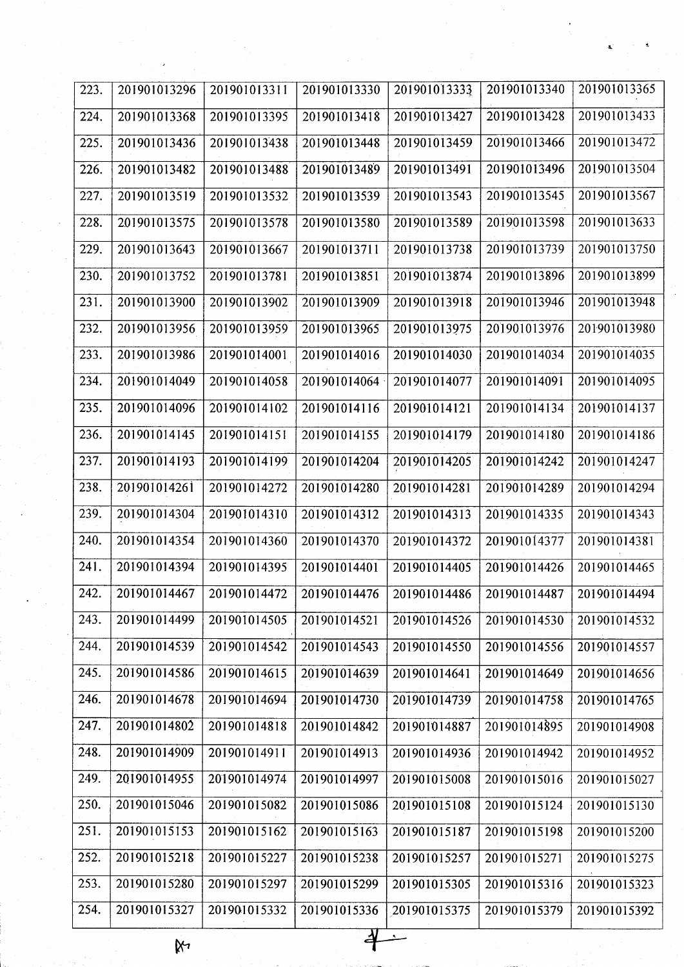| 223. | 201901013296 | 201901013311                                                                            | 201901013330 | 201901013333 | 201901013340 | 201901013365 |
|------|--------------|-----------------------------------------------------------------------------------------|--------------|--------------|--------------|--------------|
| 224. | 201901013368 | 201901013395                                                                            | 201901013418 | 201901013427 | 201901013428 | 201901013433 |
| 225. | 201901013436 | 201901013438                                                                            | 201901013448 | 201901013459 | 201901013466 | 201901013472 |
| 226. | 201901013482 | 201901013488                                                                            | 201901013489 | 201901013491 | 201901013496 | 201901013504 |
| 227. | 201901013519 | 201901013532                                                                            | 201901013539 | 201901013543 | 201901013545 | 201901013567 |
| 228. | 201901013575 | 201901013578                                                                            | 201901013580 | 201901013589 | 201901013598 | 201901013633 |
| 229. | 201901013643 | 201901013667                                                                            | 201901013711 | 201901013738 | 201901013739 | 201901013750 |
| 230. | 201901013752 | 201901013781                                                                            | 201901013851 | 201901013874 | 201901013896 | 201901013899 |
| 231. | 201901013900 | 201901013902                                                                            | 201901013909 | 201901013918 | 201901013946 | 201901013948 |
| 232. | 201901013956 | 201901013959                                                                            | 201901013965 | 201901013975 | 201901013976 | 201901013980 |
| 233. | 201901013986 | 201901014001                                                                            | 201901014016 | 201901014030 | 201901014034 | 201901014035 |
| 234. | 201901014049 | 201901014058                                                                            | 201901014064 | 201901014077 | 201901014091 | 201901014095 |
| 235. | 201901014096 | 201901014102                                                                            | 201901014116 | 201901014121 | 201901014134 | 201901014137 |
| 236. | 201901014145 | 201901014151                                                                            | 201901014155 | 201901014179 | 201901014180 | 201901014186 |
| 237. | 201901014193 | 201901014199                                                                            | 201901014204 | 201901014205 | 201901014242 | 201901014247 |
| 238. | 201901014261 | 201901014272                                                                            | 201901014280 | 201901014281 | 201901014289 | 201901014294 |
| 239. | 201901014304 | 201901014310                                                                            | 201901014312 | 201901014313 | 201901014335 | 201901014343 |
| 240. | 201901014354 | 201901014360                                                                            | 201901014370 | 201901014372 | 201901014377 | 201901014381 |
| 241. | 201901014394 | 201901014395                                                                            | 201901014401 | 201901014405 | 201901014426 | 201901014465 |
| 242. |              | 201901014467   201901014472   201901014476   201901014486   201901014487   201901014494 |              |              |              |              |
| 243. | 201901014499 | 201901014505                                                                            | 201901014521 | 201901014526 | 201901014530 | 201901014532 |
| 244. | 201901014539 | 201901014542                                                                            | 201901014543 | 201901014550 | 201901014556 | 201901014557 |
| 245. | 201901014586 | 201901014615                                                                            | 201901014639 | 201901014641 | 201901014649 | 201901014656 |
| 246. | 201901014678 | 201901014694                                                                            | 201901014730 | 201901014739 | 201901014758 | 201901014765 |
| 247. | 201901014802 | 201901014818                                                                            | 201901014842 | 201901014887 | 201901014895 | 201901014908 |
| 248. | 201901014909 | 201901014911                                                                            | 201901014913 | 201901014936 | 201901014942 | 201901014952 |
| 249. | 201901014955 | 201901014974                                                                            | 201901014997 | 201901015008 | 201901015016 | 201901015027 |
| 250. | 201901015046 | 201901015082                                                                            | 201901015086 | 201901015108 | 201901015124 | 201901015130 |
| 251. | 201901015153 | 201901015162                                                                            | 201901015163 | 201901015187 | 201901015198 | 201901015200 |
| 252. | 201901015218 | 201901015227                                                                            | 201901015238 | 201901015257 | 201901015271 | 201901015275 |
| 253. | 201901015280 | 201901015297                                                                            | 201901015299 | 201901015305 | 201901015316 | 201901015323 |
| 254. | 201901015327 | 201901015332                                                                            | 201901015336 | 201901015375 | 201901015379 | 201901015392 |

 $\aleph$ 

 $\overline{\mathcal{A}}$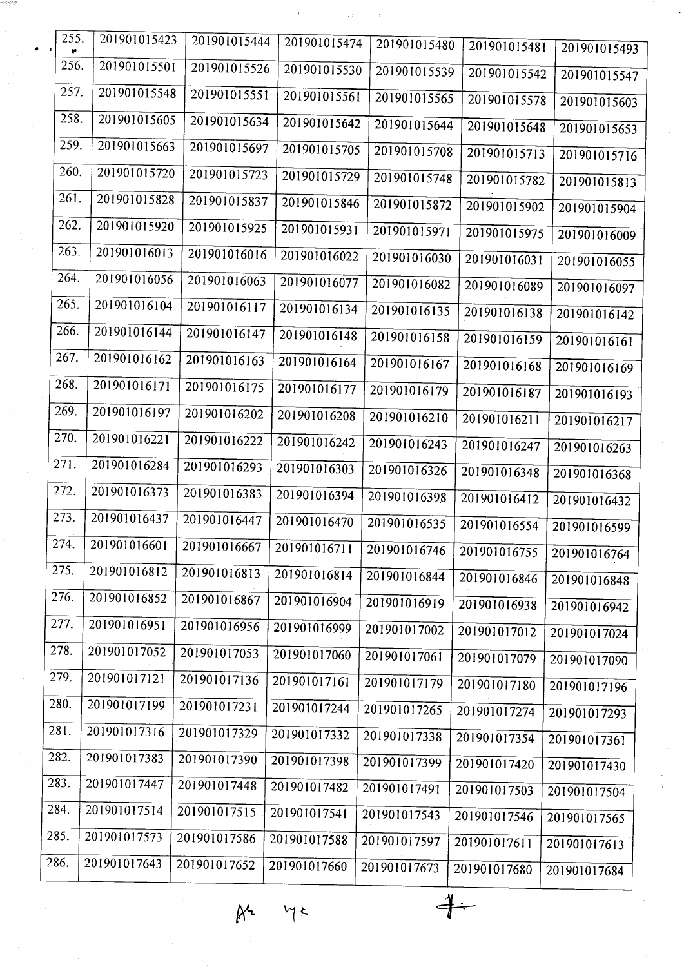| $\bullet$ | 255. | 201901015423 | 201901015444 | 201901015474 | 201901015480 | 201901015481 | 201901015493 |  |
|-----------|------|--------------|--------------|--------------|--------------|--------------|--------------|--|
|           | 256. | 201901015501 | 201901015526 | 201901015530 | 201901015539 | 201901015542 | 201901015547 |  |
|           | 257. | 201901015548 | 201901015551 | 201901015561 | 201901015565 | 201901015578 | 201901015603 |  |
|           | 258. | 201901015605 | 201901015634 | 201901015642 | 201901015644 | 201901015648 | 201901015653 |  |
|           | 259. | 201901015663 | 201901015697 | 201901015705 | 201901015708 | 201901015713 | 201901015716 |  |
|           | 260. | 201901015720 | 201901015723 | 201901015729 | 201901015748 | 201901015782 | 201901015813 |  |
|           | 261. | 201901015828 | 201901015837 | 201901015846 | 201901015872 | 201901015902 | 201901015904 |  |
|           | 262. | 201901015920 | 201901015925 | 201901015931 | 201901015971 | 201901015975 | 201901016009 |  |
|           | 263. | 201901016013 | 201901016016 | 201901016022 | 201901016030 | 201901016031 | 201901016055 |  |
|           | 264. | 201901016056 | 201901016063 | 201901016077 | 201901016082 | 201901016089 | 201901016097 |  |
|           | 265. | 201901016104 | 201901016117 | 201901016134 | 201901016135 | 201901016138 | 201901016142 |  |
|           | 266. | 201901016144 | 201901016147 | 201901016148 | 201901016158 | 201901016159 | 201901016161 |  |
|           | 267. | 201901016162 | 201901016163 | 201901016164 | 201901016167 | 201901016168 | 201901016169 |  |
|           | 268. | 201901016171 | 201901016175 | 201901016177 | 201901016179 | 201901016187 | 201901016193 |  |
|           | 269. | 201901016197 | 201901016202 | 201901016208 | 201901016210 | 201901016211 | 201901016217 |  |
|           | 270. | 201901016221 | 201901016222 | 201901016242 | 201901016243 | 201901016247 | 201901016263 |  |
|           | 271. | 201901016284 | 201901016293 | 201901016303 | 201901016326 | 201901016348 | 201901016368 |  |
|           | 272. | 201901016373 | 201901016383 | 201901016394 | 201901016398 | 201901016412 | 201901016432 |  |
|           | 273. | 201901016437 | 201901016447 | 201901016470 | 201901016535 | 201901016554 | 201901016599 |  |
|           | 274. | 201901016601 | 201901016667 | 201901016711 | 201901016746 | 201901016755 | 201901016764 |  |
|           | 275. | 201901016812 | 201901016813 | 201901016814 | 201901016844 | 201901016846 | 201901016848 |  |
|           | 276. | 201901016852 | 201901016867 | 201901016904 | 201901016919 | 201901016938 | 201901016942 |  |
|           | 277. | 201901016951 | 201901016956 | 201901016999 | 201901017002 | 201901017012 | 201901017024 |  |
|           | 278. | 201901017052 | 201901017053 | 201901017060 | 201901017061 | 201901017079 | 201901017090 |  |
|           | 279. | 201901017121 | 201901017136 | 201901017161 | 201901017179 | 201901017180 | 201901017196 |  |
|           | 280. | 201901017199 | 201901017231 | 201901017244 | 201901017265 | 201901017274 | 201901017293 |  |
|           | 281. | 201901017316 | 201901017329 | 201901017332 | 201901017338 | 201901017354 | 201901017361 |  |
|           | 282. | 201901017383 | 201901017390 | 201901017398 | 201901017399 | 201901017420 | 201901017430 |  |
|           | 283. | 201901017447 | 201901017448 | 201901017482 | 201901017491 | 201901017503 | 201901017504 |  |
|           | 284. | 201901017514 | 201901017515 | 201901017541 | 201901017543 | 201901017546 | 201901017565 |  |
|           | 285. | 201901017573 | 201901017586 | 201901017588 | 201901017597 | 201901017611 | 201901017613 |  |
|           | 286. | 201901017643 | 201901017652 | 201901017660 | 201901017673 | 201901017680 | 201901017684 |  |
|           |      |              |              |              |              |              |              |  |

 $M$  $Mk$ 

 $+$